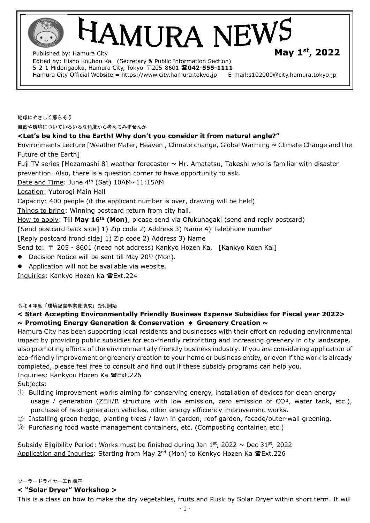**AMURA NEW** 

Published by: Hamura City **st, 2022** Edited by: Hisho Kouhou Ka (Secretary & Public Information Section) 5-2-1 Midorigaoka, Hamura City, Tokyo 〒205-8601 **042-555-1111**  Hamura City Official Website = https://www.city.hamura.tokyo.jp E-mail:s102000@city.hamura.tokyo.jp

地球にやさしく暮らそう 自然や環境についていろいろな角度から考えてみませんか

## **<Let's be kind to the Earth! Why don't you consider it from natural angle?"**

Environments Lecture [Weather Mater, Heaven, Climate change, Global Warming  $\sim$  Climate Change and the Future of the Earth]

Fuji TV series [Mezamashi 8] weather forecaster  $\sim$  Mr. Amatatsu, Takeshi who is familiar with disaster prevention. Also, there is a question corner to have opportunity to ask.

Date and Time: June  $4<sup>th</sup>$  (Sat) 10AM $\sim$ 11:15AM

Location: Yutorogi Main Hall

Capacity: 400 people (it the applicant number is over, drawing will be held)

Things to bring: Winning postcard return from city hall.

How to apply: Till **May 16th (Mon)**, please send via Ofukuhagaki (send and reply postcard)

[Send postcard back side] 1) Zip code 2) Address 3) Name 4) Telephone number

[Reply postcard frond side] 1) Zip code 2) Address 3) Name

Send to:  $\bar{\tau}$  205 - 8601 (need not address) Kankyo Hozen Ka, [Kankyo Koen Kai]

- $\bullet$  Decision Notice will be sent till May 20<sup>th</sup> (Mon).
- Application will not be available via website.

Inquiries: Kankyo Hozen Ka Ext.224

令和4年度「環境配慮事業費助成」受付開始

## **< Start Accepting Environmentally Friendly Business Expense Subsidies for Fiscal year 2022> ~ Promoting Energy Generation & Conservation** \* **Greenery Creation ~**

Hamura City has been supporting local residents and businesses with their effort on reducing environmental impact by providing public subsidies for eco-friendly retrofitting and increasing greenery in city landscape, also promoting efforts of the environmentally friendly business industry. If you are considering application of eco-friendly improvement or greenery creation to your home or business entity, or even if the work is already completed, please feel free to consult and find out if these subsidy programs can help you. Inquiries: Kankyou Hozen Ka Ext.226

Subjects:

- ① Building improvement works aiming for conserving energy, installation of devices for clean energy usage / generation (ZEH/B structure with low emission, zero emission of  $CO^2$ , water tank, etc.), purchase of next-generation vehicles, other energy efficiency improvement works.
- ② Installing green hedge, planting trees / lawn in garden, roof garden, facade/outer-wall greening.
- ③ Purchasing food waste management containers, etc. (Composting container, etc.)

Subsidy Eligibility Period: Works must be finished during Jan  $1<sup>st</sup>$ , 2022 ~ Dec 31<sup>st</sup>, 2022 Application and Inquries: Starting from May 2<sup>nd</sup> (Mon) to Kenkyo Hozen Ka **雷Ext.226** 

#### ソーラードライヤー工作講座

## **< "Solar Dryer" Workshop >**

This is a class on how to make the dry vegetables, fruits and Rusk by Solar Dryer within short term. It will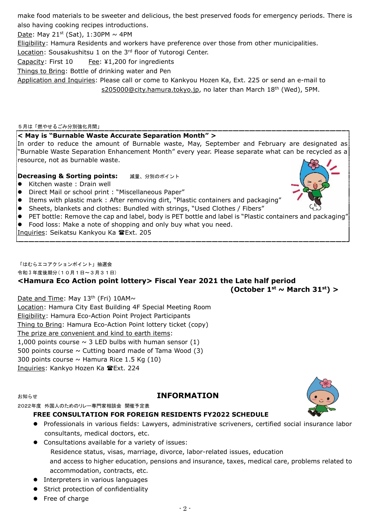make food materials to be sweeter and delicious, the best preserved foods for emergency periods. There is also having cooking recipes introductions.

Date: May 21<sup>st</sup> (Sat), 1:30PM  $\sim$  4PM

Eligibility: Hamura Residents and workers have preference over those from other municipalities.

Location: Sousakushitsu 1 on the 3<sup>rd</sup> floor of Yutorogi Center.

Capacity: First 10 Fee: ¥1,200 for ingredients

Things to Bring: Bottle of drinking water and Pen

Application and Inquiries: Please call or come to Kankyou Hozen Ka, Ext. 225 or send an e-mail to [s205000@city.hamura.tokyo.jp,](mailto:s205000@city.hamura.tokyo.jp) no later than March 18<sup>th</sup> (Wed), 5PM.

5月は「燃やせるごみ分別強化月間」

## **< May is "Burnable Waste Accurate Separation Month" >**

In order to reduce the amount of Burnable waste, May, September and February are designated as "Burnable Waste Separation Enhancement Month" every year. Please separate what can be recycled as a resource, not as burnable waste.

## **Decreasing & Sorting points: 減量、分別のポイント**

- Kitchen waste: Drain well
- Direct Mail or school print : "Miscellaneous Paper"
- Items with plastic mark : After removing dirt, "Plastic containers and packaging"
- Sheets, blankets and clothes: Bundled with strings, "Used Clothes / Fibers"
- PET bottle: Remove the cap and label, body is PET bottle and label is "Plastic containers and packaging"

Food loss: Make a note of shopping and only buy what you need.

Inquiries: Seikatsu Kankyou Ka FExt. 205

「はむらエコアクションポイント」抽選会

令和 3 年度後期分(10月1日~3月31日)

# **<Hamura Eco Action point lottery> Fiscal Year 2021 the Late half period**

**(October 1st ~ March 31st) >**

## Date and Time: May 13<sup>th</sup> (Fri) 10AM~

Location: Hamura City East Building 4F Special Meeting Room Eligibility: Hamura Eco-Action Point Project Participants Thing to Bring: Hamura Eco-Action Point lottery ticket (copy) The prize are convenient and kind to earth items: 1,000 points course  $\sim$  3 LED bulbs with human sensor (1) 500 points course  $\sim$  Cutting board made of Tama Wood (3) 300 points course  $\sim$  Hamura Rice 1.5 Kg (10) Inquiries: Kankyo Hozen Ka 雷Ext. 224

## お知らせ **INFORMATION**

2022年度 外国人のためのリレー専門家相談会 開催予定表

## **FREE CONSULTATION FOR FOREIGN RESIDENTS FY2022 SCHEDULE**

- Professionals in various fields: Lawyers, administrative scriveners, certified social insurance labor consultants, medical doctors, etc.
- Consultations available for a variety of issues: Residence status, visas, marriage, divorce, labor-related issues, education and access to higher education, pensions and insurance, taxes, medical care, problems related to accommodation, contracts, etc.

 $-2-$ 

- **•** Interpreters in various languages
- Strict protection of confidentiality
- Free of charge



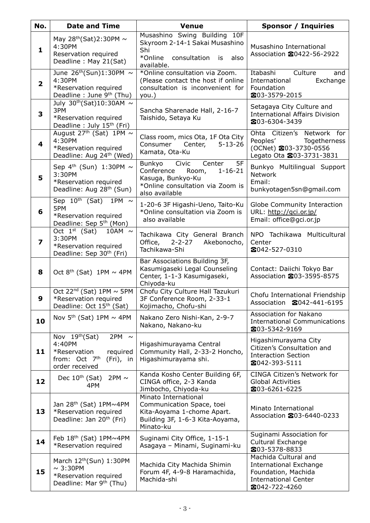| No.                     | <b>Date and Time</b>                                                                                                               | <b>Venue</b>                                                                                                                                       | <b>Sponsor / Inquiries</b>                                                                                                   |  |  |
|-------------------------|------------------------------------------------------------------------------------------------------------------------------------|----------------------------------------------------------------------------------------------------------------------------------------------------|------------------------------------------------------------------------------------------------------------------------------|--|--|
| $\mathbf{1}$            | May $28^{th}$ (Sat)2:30PM $\sim$<br>4:30PM<br>Reservation required<br>Deadline: May 21(Sat)                                        | Musashino Swing Building 10F<br>Skyroom 2-14-1 Sakai Musashino<br>Shi<br>*Online<br>consultation<br>also<br>is<br>available.                       | Musashino International<br>Association 20422-56-2922                                                                         |  |  |
| $\overline{\mathbf{2}}$ | June $26th(Sun)1:30PM ~$<br>4:30PM<br>*Reservation required<br>Deadline: June 9th (Thu)                                            | *Online consultation via Zoom.<br>(Please contact the host if online<br>consultation is inconvenient for<br>you.)                                  | Itabashi<br>Culture<br>and<br>Exchange<br>International<br>Foundation<br>203-3579-2015                                       |  |  |
| 3                       | July $30^{th}$ (Sat)10:30AM ~<br>3PM<br>*Reservation required<br>Deadline: July 15 <sup>th</sup> (Fri)                             | Sancha Sharenade Hall, 2-16-7<br>Taishido, Setaya Ku                                                                                               | Setagaya City Culture and<br><b>International Affairs Division</b><br>203-6304-3439                                          |  |  |
| $\overline{\mathbf{4}}$ | August 27 <sup>th</sup> (Sat) 1PM $\sim$<br>4:30PM<br>*Reservation required<br>Deadline: Aug 24 <sup>th</sup> (Wed)                | Class room, mics Ota, 1F Ota City<br>Center,<br>$5 - 13 - 26$<br>Consumer<br>Kamata, Ota-Ku                                                        | Ohta Citizen's Network for<br>Peoples'<br>Togetherness<br>(OCNet) 203-3730-0556<br>Legato Ota 203-3731-3831                  |  |  |
| 5                       | Sep $4th$ (Sun) 1:30PM $\sim$<br>3:30PM<br>*Reservation required<br>Deadline: Aug 28 <sup>th</sup> (Sun)                           | Civic<br>5F<br>Center<br>Bunkyo<br>Conference<br>$1 - 16 - 21$<br>Room,<br>Kasuga, Bunkyo-Ku<br>*Online consultation via Zoom is<br>also available | Bunkyo Multilingual Support<br><b>Network</b><br>Email:<br>bunkyotagen5sn@gmail.com                                          |  |  |
| 6                       | Sep 10 <sup>th</sup> (Sat)<br>1PM $\sim$<br>5PM<br>*Reservation required<br>Deadline: Sep 5 <sup>th</sup> (Mon)                    | 1-20-6 3F Higashi-Ueno, Taito-Ku<br>*Online consultation via Zoom is<br>also available                                                             | Globe Community Interaction<br>URL: http://gci.or.jp/<br>Email: office@gci.or.jp                                             |  |  |
| $\overline{\mathbf{z}}$ | Oct 1 <sup>st</sup> (Sat) 10AM $\sim$<br>3:30PM<br>*Reservation required<br>Deadline: Sep 30 <sup>th</sup> (Fri)                   | Tachikawa City General Branch<br>Office,<br>$2 - 2 - 27$<br>Akebonocho,<br>Tachikawa-Shi                                                           | NPO Tachikawa Multicultural<br>Center<br>2042-527-0310                                                                       |  |  |
| 8                       | Oct $8th$ (Sat) 1PM $\sim$ 4PM                                                                                                     | Bar Associations Building 3F,<br>Kasumigaseki Legal Counseling<br>Center, 1-1-3 Kasumigaseki,<br>Chiyoda-ku                                        | Contact: Daiichi Tokyo Bar<br>Association 203-3595-8575                                                                      |  |  |
| У                       | Oct 22 <sup>nd</sup> (Sat) $1PM \sim 5PM$<br>*Reservation required<br>Deadline: Oct 15 <sup>th</sup> (Sat)                         | Chofu City Culture Hall Tazukuri<br>3F Conference Room, 2-33-1<br>Kojimacho, Chofu-shi                                                             | Chofu International Friendship<br>Association 2042-441-6195                                                                  |  |  |
| 10                      | Nov $5th$ (Sat) 1PM $\sim$ 4PM                                                                                                     | Nakano Zero Nishi-Kan, 2-9-7<br>Nakano, Nakano-ku                                                                                                  | Association for Nakano<br><b>International Communications</b><br>203-5342-9169                                               |  |  |
| 11                      | Nov $19th(Sat)$<br>2PM $\sim$<br>4:40PM<br>*Reservation<br>required<br>from: Oct 7 <sup>th</sup><br>$(Fri)$ , in<br>order received | Higashimurayama Central<br>Community Hall, 2-33-2 Honcho,<br>Higashimurayama shi.                                                                  | Higashimurayama City<br>Citizen's Consultation and<br><b>Interaction Section</b><br>2042-393-5111                            |  |  |
| 12                      | 2PM $\sim$<br>Dec $10th$ (Sat)<br>4PM                                                                                              | Kanda Kosho Center Building 6F,<br>CINGA office, 2-3 Kanda<br>Jimbocho, Chiyoda-ku                                                                 | CINGA Citizen's Network for<br><b>Global Activities</b><br>203-6261-6225                                                     |  |  |
| 13                      | Jan 28 <sup>th</sup> (Sat) 1PM~4PM<br>*Reservation required<br>Deadline: Jan 20 <sup>th</sup> (Fri)                                | Minato International<br>Communication Space, toei<br>Kita-Aoyama 1-chome Apart.<br>Building 3F, 1-6-3 Kita-Aoyama,<br>Minato-ku                    | Minato International<br>Association 203-6440-0233                                                                            |  |  |
| 14                      | Feb $18th$ (Sat) $1PM \sim 4PM$<br>*Reservation required                                                                           | Suginami City Office, 1-15-1<br>Asagaya - Minami, Suginami-ku                                                                                      | Suginami Association for<br>Cultural Exchange<br>203-5378-8833                                                               |  |  |
| 15                      | March 12 <sup>th</sup> (Sun) 1:30PM<br>$\sim$ 3:30PM<br>*Reservation required<br>Deadline: Mar 9 <sup>th</sup> (Thu)               | Machida City Machida Shimin<br>Forum 4F, 4-9-8 Haramachida,<br>Machida-shi                                                                         | Machida Cultural and<br><b>International Exchange</b><br>Foundation, Machida<br><b>International Center</b><br>☎042-722-4260 |  |  |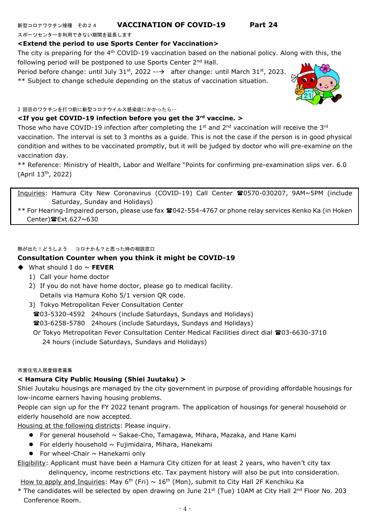## 新型コロナワクチン接種 その24 **VACCINATION OF COVID-19 Part 24**

スポーツセンターを利用できない期間を延長します

### **<Extend the period to use Sports Center for Vaccination>**

The city is preparing for the  $4<sup>th</sup>$  COVID-19 vaccination based on the national policy. Along with this, the following period will be postponed to use Sports Center 2<sup>nd</sup> Hall.

Period before change: until July 31<sup>st</sup>, 2022 -- $\rightarrow$  after change: until March 31st, 2023. \*\* Subject to change schedule depending on the status of vaccination situation.



#### **<If you get COVID-19 infection before you get the 3rd vaccine. >**

Those who have COVID-19 infection after completing the  $1<sup>st</sup>$  and  $2<sup>nd</sup>$  vaccination will receive the  $3<sup>rd</sup>$ vaccination. The interval is set to 3 months as a guide. This is not the case if the person is in good physical condition and withes to be vaccinated promptly, but it will be judged by doctor who will pre-examine on the vaccination day.

\*\* Reference: Ministry of Health, Labor and Welfare "Points for confirming pre-examination slips ver. 6.0 (April 13th, 2022)

Inquiries: Hamura City New Coronavirus (COVID-19) Call Center 20570-030207, 9AM~5PM (include Saturday, Sunday and Holidays)

\*\* For Hearing-Impaired person, please use fax 042-554-4767 or phone relay services Kenko Ka (in Hoken Center) $E$ Ext.627~630

#### 熱が出た!どうしよう コロナかも?と思った時の相談窓口

## **Consultation Counter when you think it might be COVID-19**

- ◆ What should I do ~ **FEVER**
	- 1) Call your home doctor
	- 2) If you do not have home doctor, please go to medical facility. Details via Hamura Koho 5/1 version QR code.
	- 3) Tokyo Metropolitan Fever Consultation Center

03-5320-4592 24hours (include Saturdays, Sundays and Holidays)

03-6258-5780 24hours (include Saturdays, Sundays and Holidays)

Or Tokyo Metropolitan Fever Consultation Center Medical Facilities direct dial **雪**03-6630-3710 24 hours (include Saturdays, Sundays and Holidays)

#### 市営住宅入居登録者募集

#### **< Hamura City Public Housing (Shiei Juutaku) >**

Shiei Juutaku housings are managed by the city government in purpose of providing affordable housings for low-income earners having housing problems.

People can sign up for the FY 2022 tenant program. The application of housings for general household or elderly household are now accepted.

Housing at the following districts: Please inquiry.

- **•** For general household  $\sim$  Sakae-Cho, Tamagawa, Mihara, Mazaka, and Hane Kami
- $\bullet$  For elderly household  $\sim$  Fujimidaira, Mihara, Hanekami
- For wheel-Chair  $\sim$  Hanekami only

Eligibility: Applicant must have been a Hamura City citizen for at least 2 years, who haven't city tax delinquency, income restrictions etc. Tax payment history will also be put into consideration.

How to apply and Inquiries: May 6<sup>th</sup> (Fri)  $\sim 16^{\text{th}}$  (Mon), submit to City Hall 2F Kenchiku Ka

\* The candidates will be selected by open drawing on June 21<sup>st</sup> (Tue) 10AM at City Hall 2<sup>nd</sup> Floor No. 203 Conference Room.

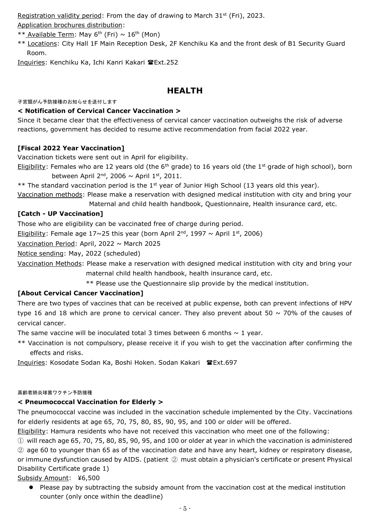Registration validity period: From the day of drawing to March  $31<sup>st</sup>$  (Fri), 2023. Application brochures distribution:

- \*\* Available Term: May 6<sup>th</sup> (Fri) ~ 16<sup>th</sup> (Mon)
- \*\* Locations: City Hall 1F Main Reception Desk, 2F Kenchiku Ka and the front desk of B1 Security Guard Room.

Inquiries: Kenchiku Ka, Ichi Kanri Kakari Ext.252

## **HEALTH**

#### 子宮頸がん予防接種のお知らせを送付します

## **< Notification of Cervical Cancer Vaccination >**

Since it became clear that the effectiveness of cervical cancer vaccination outweighs the risk of adverse reactions, government has decided to resume active recommendation from facial 2022 year.

## **[Fiscal 2022 Year Vaccination]**

Vaccination tickets were sent out in April for eligibility.

Eligibility: Females who are 12 years old (the 6<sup>th</sup> grade) to 16 years old (the 1<sup>st</sup> grade of high school), born between April 2<sup>nd</sup>, 2006  $\sim$  April 1<sup>st</sup>, 2011.

\*\* The standard vaccination period is the 1<sup>st</sup> year of Junior High School (13 years old this year).

Vaccination methods: Please make a reservation with designed medical institution with city and bring your Maternal and child health handbook, Questionnaire, Health insurance card, etc.

## **[Catch - UP Vaccination]**

Those who are eligibility can be vaccinated free of charge during period.

Eligibility: Female age 17~25 this year (born April 2<sup>nd</sup>, 1997 ~ April 1<sup>st</sup>, 2006)

Vaccination Period: April, 2022 ~ March 2025

Notice sending: May, 2022 (scheduled)

Vaccination Methods: Please make a reservation with designed medical institution with city and bring your maternal child health handbook, health insurance card, etc.

\*\* Please use the Questionnaire slip provide by the medical institution.

## **[About Cervical Cancer Vaccination]**

There are two types of vaccines that can be received at public expense, both can prevent infections of HPV type 16 and 18 which are prone to cervical cancer. They also prevent about 50  $\sim$  70% of the causes of cervical cancer.

The same vaccine will be inoculated total 3 times between 6 months  $\sim$  1 year.

\*\* Vaccination is not compulsory, please receive it if you wish to get the vaccination after confirming the effects and risks.

Inquiries: Kosodate Sodan Ka, Boshi Hoken. Sodan Kakari 雷Ext.697

#### 高齢者肺炎球菌ワクチン予防接種

## **< Pneumococcal Vaccination for Elderly >**

The pneumococcal vaccine was included in the vaccination schedule implemented by the City. Vaccinations for elderly residents at age 65, 70, 75, 80, 85, 90, 95, and 100 or older will be offered.

Eligibility: Hamura residents who have not received this vaccination who meet one of the following:

① will reach age 65, 70, 75, 80, 85, 90, 95, and 100 or older at year in which the vaccination is administered ② age 60 to younger than 65 as of the vaccination date and have any heart, kidney or respiratory disease, or immune dysfunction caused by AIDS. (patient ② must obtain a physician's certificate or present Physical Disability Certificate grade 1)

Subsidy Amount: ¥6,500

 Please pay by subtracting the subsidy amount from the vaccination cost at the medical institution counter (only once within the deadline)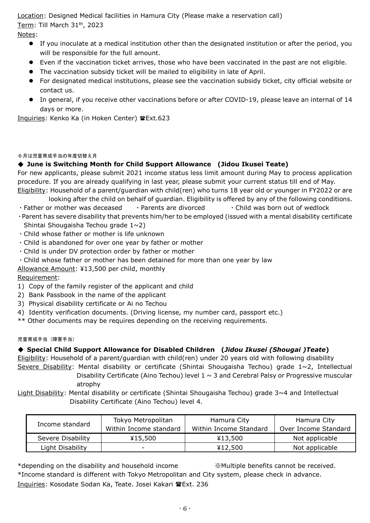Location: Designed Medical facilities in Hamura City (Please make a reservation call) Term: Till March 31th, 2023

Notes:

- If you inoculate at a medical institution other than the designated institution or after the period, you will be responsible for the full amount.
- Even if the vaccination ticket arrives, those who have been vaccinated in the past are not eligible.
- The vaccination subsidy ticket will be mailed to eligibility in late of April.
- For designated medical institutions, please see the vaccination subsidy ticket, city official website or contact us.
- In general, if you receive other vaccinations before or after COVID-19, please leave an internal of 14 days or more.

Inquiries: Kenko Ka (in Hoken Center) @Ext.623

## 6月は児童育成手当の年度切替え月

## ◆ **June is Switching Month for Child Support Allowance (Jidou Ikusei Teate)**

For new applicants, please submit 2021 income status less limit amount during May to process application procedure. If you are already qualifying in last year, please submit your current status till end of May. Eligibility: Household of a parent/guardian with child(ren) who turns 18 year old or younger in FY2022 or are

looking after the child on behalf of guardian. Eligibility is offered by any of the following conditions.

- Father or mother was deceased Parents are divorced Child was born out of wedlock
- ・Parent has severe disability that prevents him/her to be employed (issued with a mental disability certificate Shintai Shougaisha Techou grade 1~2)
- ・Child whose father or mother is life unknown
- ・Child is abandoned for over one year by father or mother
- ・Child is under DV protection order by father or mother
- ・Child whose father or mother has been detained for more than one year by law

Allowance Amount: ¥13,500 per child, monthly

## Requirement:

- 1) Copy of the family register of the applicant and child
- 2) Bank Passbook in the name of the applicant
- 3) Physical disability certificate or Ai no Techou
- 4) Identity verification documents. (Driving license, my number card, passport etc.)
- \*\* Other documents may be requires depending on the receiving requirements.

#### 児童育成手当(障害手当)

## ◆ **Special Child Support Allowance for Disabled Children (***Jidou Ikusei (Shougai )Teate***)**

Eligibility: Household of a parent/guardian with child(ren) under 20 years old with following disability Severe Disability: Mental disability or certificate (Shintai Shougaisha Techou) grade  $1~2$ , Intellectual Disability Certificate (Aino Techou) level  $1 \sim 3$  and Cerebral Palsy or Progressive muscular

atrophy

Light Disability: Mental disability or certificate (Shintai Shougaisha Techou) grade 3~4 and Intellectual Disability Certificate (Aino Techou) level 4.

| Income standard   | Tokyo Metropolitan<br>Within Income standard | Hamura City<br>Within Income Standard | Hamura City<br>Over Income Standard |  |
|-------------------|----------------------------------------------|---------------------------------------|-------------------------------------|--|
| Severe Disability | ¥15,500                                      | ¥13,500                               | Not applicable                      |  |
| Light Disability  | -                                            | ¥12,500                               | Not applicable                      |  |

\*depending on the disability and household income ※Multiple benefits cannot be received. \*Income standard is different with Tokyo Metropolitan and City system, please check in advance. Inquiries: Kosodate Sodan Ka, Teate. Josei Kakari TExt. 236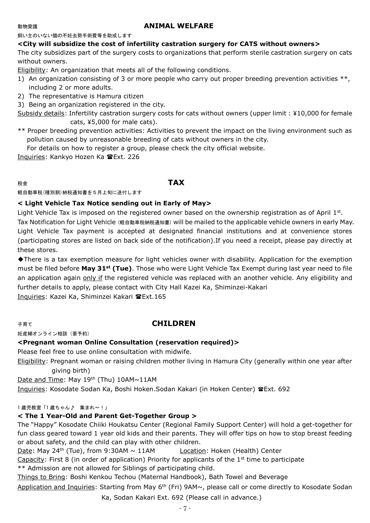## 動物愛護 **ANIMAL WELFARE**

飼い主のいない猫の不妊去勢手術費等を助成します

#### **<City will subsidize the cost of infertility castration surgery for CATS without owners>**

The city subsidizes part of the surgery costs to organizations that perform sterile castration surgery on cats without owners.

Eligibility: An organization that meets all of the following conditions.

- 1) An organization consisting of 3 or more people who carry out proper breeding prevention activities \*\*, including 2 or more adults.
- 2) The representative is Hamura citizen
- 3) Being an organization registered in the city.

Subsidy details: Infertility castration surgery costs for cats without owners (upper limit : ¥10,000 for female cats, ¥5,000 for male cats).

\*\* Proper breeding prevention activities: Activities to prevent the impact on the living environment such as pollution caused by unreasonable breeding of cats without owners in the city.

For details on how to register a group, please check the city official website.

Inquiries: Kankyo Hozen Ka TExt. 226

#### 税金 **TAX**

軽自動車税(種別割)納税通知書を5月上旬に送付します

## **< Light Vehicle Tax Notice sending out in Early of May>**

Light Vehicle Tax is imposed on the registered owner based on the ownership registration as of April  $1^{st}$ . Tax Notification for Light Vehicle (軽自動車税納税通知書) will be mailed to the applicable vehicle owners in early May. Light Vehicle Tax payment is accepted at designated financial institutions and at convenience stores (participating stores are listed on back side of the notification).If you need a receipt, please pay directly at these stores.

◆There is a tax exemption measure for light vehicles owner with disability. Application for the exemption must be filed before **May 31st (Tue)**. Those who were Light Vehicle Tax Exempt during last year need to file an application again only if the registered vehicle was replaced with an another vehicle. Any eligibility and further details to apply, please contact with City Hall Kazei Ka, Shiminzei-Kakari Inquiries: Kazei Ka, Shiminzei Kakari Ext.165

## 子育て **CHILDREN**

妊産婦オンライン相談(要予約)

## **<Pregnant woman Online Consultation (reservation required)>**

Please feel free to use online consultation with midwife.

Eligibility: Pregnant woman or raising children mother living in Hamura City (generally within one year after giving birth)

Date and Time: May 19th (Thu) 10AM~11AM

Inquiries: Kosodate Sodan Ka, Boshi Hoken. Sodan Kakari (in Hoken Center) @Ext. 692

#### 1 歳児教室「1 歳ちゃん♪ 集まれ~!」

## **< The 1 Year-Old and Parent Get-Together Group >**

The "Happy" Kosodate Chiiki Houkatsu Center (Regional Family Support Center) will hold a get-together for fun class geared toward 1 year old kids and their parents. They will offer tips on how to stop breast feeding or about safety, and the child can play with other children.

Date: May 24<sup>th</sup> (Tue), from 9:30AM  $\sim$  11AM Location: Hoken (Health) Center

Capacity: First 8 (in order of application) Priority for applicants of the  $1<sup>st</sup>$  time to participate

\*\* Admission are not allowed for Siblings of participating child.

Things to Bring: Boshi Kenkou Techou (Maternal Handbook), Bath Towel and Beverage

Application and Inquiries: Starting from May 6<sup>th</sup> (Fri) 9AM~, please call or come directly to Kosodate Sodan

Ka, Sodan Kakari Ext. 692 (Please call in advance.)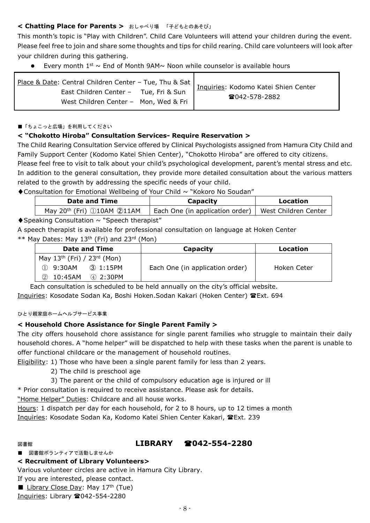## **< Chatting Place for Parents >** おしゃべり場 「子どもとのあそび」

This month's topic is "Play with Children". Child Care Volunteers will attend your children during the event. Please feel free to join and share some thoughts and tips for child rearing. Child care volunteers will look after your children during this gathering.

Every month  $1^{st} \sim$  End of Month 9AM $\sim$  Noon while counselor is available hours

| Place & Date: Central Children Center - Tue, Thu & Sat | Inquiries: Kodomo Katei Shien Center |
|--------------------------------------------------------|--------------------------------------|
| East Children Center - Tue, Fri & Sun                  | ☎042-578-2882                        |
| West Children Center - Mon, Wed & Fri                  |                                      |

#### ■「ちょこっと広場」を利用してください

## **< "Chokotto Hiroba" Consultation Services- Require Reservation >**

The Child Rearing Consultation Service offered by Clinical Psychologists assigned from Hamura City Child and Family Support Center (Kodomo Katei Shien Center), "Chokotto Hiroba" are offered to city citizens.

Please feel free to visit to talk about your child's psychological development, parent's mental stress and etc. In addition to the general consultation, they provide more detailed consultation about the various matters related to the growth by addressing the specific needs of your child.

◆Consultation for Emotional Wellbeing of Your Child ~ "Kokoro No Soudan"

| <b>Date and Time</b>                       | Capacity                                               | Location |  |
|--------------------------------------------|--------------------------------------------------------|----------|--|
| May 20 <sup>th</sup> (Fri) 10AM 211AM      | Each One (in application order)   West Children Center |          |  |
| aldwe Canaultatian - NCwaash thananist - " |                                                        |          |  |

## $\blacklozenge$  Speaking Consultation  $\sim$  "Speech therapist"

A speech therapist is available for professional consultation on language at Hoken Center  $**$  May Dates: May 13<sup>th</sup> (Fri) and 23<sup>rd</sup> (Mon)

| <b>Date and Time</b>                  | Capacity                        | Location    |  |
|---------------------------------------|---------------------------------|-------------|--|
| May $13^{th}$ (Fri) / $23^{rd}$ (Mon) |                                 |             |  |
| $(D)$ 9:30AM<br>③ 1:15PM              | Each One (in application order) | Hoken Ceter |  |
| 2 10:45AM<br>4 2:30PM                 |                                 |             |  |

Each consultation is scheduled to be held annually on the city's official website.

Inquiries: Kosodate Sodan Ka, Boshi Hoken.Sodan Kakari (Hoken Center) Ext. 694

#### ひとり親家庭ホームヘルプサービス事業

## **< Household Chore Assistance for Single Parent Family >**

The city offers household chore assistance for single parent families who struggle to maintain their daily household chores. A "home helper" will be dispatched to help with these tasks when the parent is unable to offer functional childcare or the management of household routines.

Eligibility: 1) Those who have been a single parent family for less than 2 years.

- 2) The child is preschool age
- 3) The parent or the child of compulsory education age is injured or ill

\* Prior consultation is required to receive assistance. Please ask for details.

"Home Helper" Duties: Childcare and all house works.

Hours: 1 dispatch per day for each household, for 2 to 8 hours, up to 12 times a month Inquiries: Kosodate Sodan Ka, Kodomo Katei Shien Center Kakari, TExt. 239

## 図書館 **LIBRARY 042-554-2280**

■ 図書館ボランティアで活動しませんか

#### **< Recruitment of Library Volunteers>**

Various volunteer circles are active in Hamura City Library.

- If you are interested, please contact.
- Library Close Day: May  $17<sup>th</sup>$  (Tue)

Inquiries: Library 2042-554-2280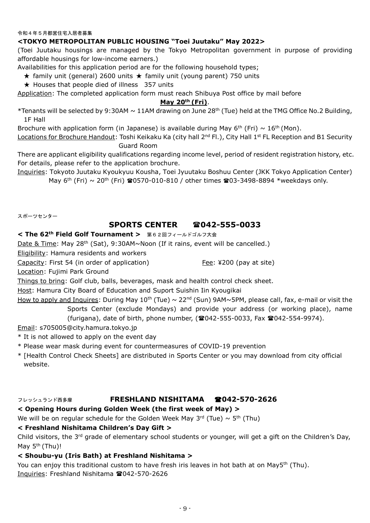#### 令和4年5月都営住宅入居者募集

### **<TOKYO METROPOLITAN PUBLIC HOUSING "Toei Juutaku" May 2022>**

(Toei Juutaku housings are managed by the Tokyo Metropolitan government in purpose of providing affordable housings for low-income earners.)

Availabilities for this application period are for the following household types;

 $\star$  family unit (general) 2600 units  $\star$  family unit (young parent) 750 units

 $\star$  Houses that people died of illness 357 units

Application: The completed application form must reach Shibuya Post office by mail before

#### **May 20th (Fri)**.

\*Tenants will be selected by 9:30AM  $\sim$  11AM drawing on June 28<sup>th</sup> (Tue) held at the TMG Office No.2 Building, 1F Hall

Brochure with application form (in Japanese) is available during May 6<sup>th</sup> (Fri)  $\sim 16$ <sup>th</sup> (Mon).

Locations for Brochure Handout: Toshi Keikaku Ka (city hall 2<sup>nd</sup> Fl.), City Hall 1<sup>st</sup> FL Reception and B1 Security Guard Room

There are applicant eligibility qualifications regarding income level, period of resident registration history, etc. For details, please refer to the application brochure.

Inquiries: Tokyoto Juutaku Kyoukyuu Kousha, Toei Jyuutaku Boshuu Center (JKK Tokyo Application Center) May  $6^{th}$  (Fri) ~ 20<sup>th</sup> (Fri)  $\approx 0570$ -010-810 / other times  $\approx 03$ -3498-8894 \*weekdays only.

スポーツセンター

## **SPORTS CENTER 042-555-0033**

#### **< The 62th Field Golf Tournament >** 第62回フィールドゴルフ大会

Date & Time: May 28<sup>th</sup> (Sat), 9:30AM~Noon (If it rains, event will be cancelled.)

Eligibility: Hamura residents and workers

Capacity: First 54 (in order of application) Fee: ¥200 (pay at site)

Location: Fujimi Park Ground

Things to bring: Golf club, balls, beverages, mask and health control check sheet.

Host: Hamura City Board of Education and Suport Suishin Iin Kyougikai

How to apply and Inquires: During May  $10^{th}$  (Tue)  $\sim 22^{nd}$  (Sun) 9AM~5PM, please call, fax, e-mail or visit the Sports Center (exclude Mondays) and provide your address (or working place), name

 $(furi<sub>an</sub>)$ , date of birth, phone number,  $(2042 - 555 - 0033)$ , Fax  $(2042 - 554 - 9974)$ .

Email: s705005@city.hamura.tokyo.jp

- \* It is not allowed to apply on the event day
- \* Please wear mask during event for countermeasures of COVID-19 prevention
- \* [Health Control Check Sheets] are distributed in Sports Center or you may download from city official website.

#### フレッシュランド西多摩 **FRESHLAND NISHITAMA 042-570-2626**

## **< Opening Hours during Golden Week (the first week of May) >**

We will be on regular schedule for the Golden Week May 3<sup>rd</sup> (Tue) ~ 5<sup>th</sup> (Thu)

#### **< Freshland Nishitama Children's Day Gift >**

Child visitors, the  $3^{rd}$  grade of elementary school students or younger, will get a gift on the Children's Day, May  $5<sup>th</sup>$  (Thu)!

#### **< Shoubu-yu (Iris Bath) at Freshland Nishitama >**

You can enjoy this traditional custom to have fresh iris leaves in hot bath at on May5<sup>th</sup> (Thu). Inquiries: Freshland Nishitama 2042-570-2626